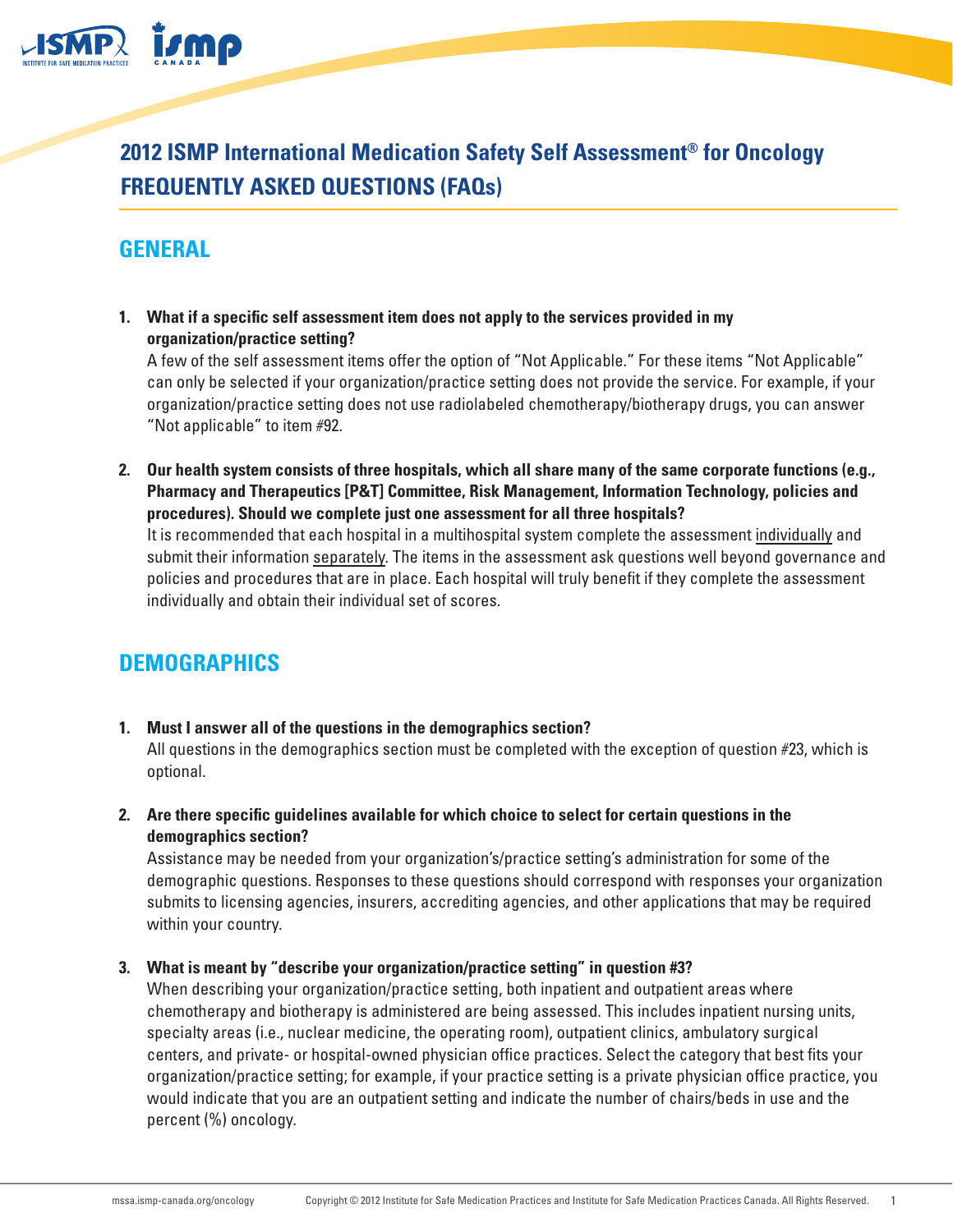

**2012 ISMP International Medication Safety Self Assessment® for Oncology FREQUENTLY ASKED QUESTIONS (FAQs)**

# **GENERAL**

**1. What if a specific self assessment item does not apply to the services provided in my organization/practice setting?**

A few of the self assessment items offer the option of "Not Applicable." For these items "Not Applicable" can only be selected if your organization/practice setting does not provide the service. For example, if your organization/practice setting does not use radiolabeled chemotherapy/biotherapy drugs, you can answer "Not applicable" to item #92.

**2. Our health system consists of three hospitals, which all share many of the same corporate functions (e.g., Pharmacy and Therapeutics [P&T] Committee, Risk Management, Information Technology, policies and procedures). Should we complete just one assessment for all three hospitals?**

It is recommended that each hospital in a multihospital system complete the assessment individually and submit their information separately. The items in the assessment ask questions well beyond governance and policies and procedures that are in place. Each hospital will truly benefit if they complete the assessment individually and obtain their individual set of scores.

## **DEMOGRAPHICS**

- **1. Must I answer all of the questions in the demographics section?** All questions in the demographics section must be completed with the exception of question #23, which is optional.
- **2. Are there specific guidelines available for which choice to select for certain questions in the demographics section?**

Assistance may be needed from your organization's/practice setting's administration for some of the demographic questions. Responses to these questions should correspond with responses your organization submits to licensing agencies, insurers, accrediting agencies, and other applications that may be required within your country.

#### **3. What is meant by "describe your organization/practice setting" in question #3?**

When describing your organization/practice setting, both inpatient and outpatient areas where chemotherapy and biotherapy is administered are being assessed. This includes inpatient nursing units, specialty areas (i.e., nuclear medicine, the operating room), outpatient clinics, ambulatory surgical centers, and private- or hospital-owned physician office practices. Select the category that best fits your organization/practice setting; for example, if your practice setting is a private physician office practice, you would indicate that you are an outpatient setting and indicate the number of chairs/beds in use and the percent (%) oncology.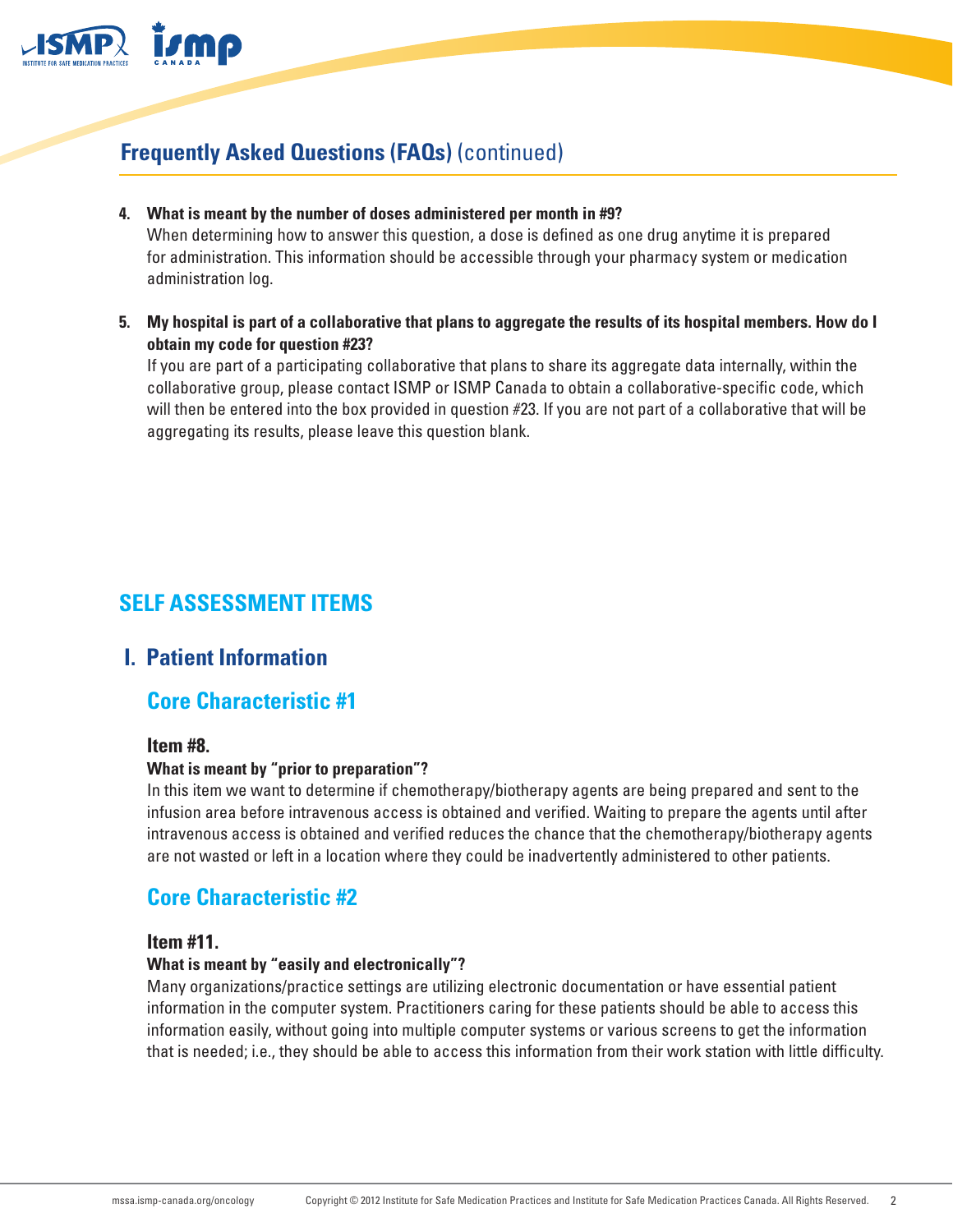

**4. What is meant by the number of doses administered per month in #9?**

When determining how to answer this question, a dose is defined as one drug anytime it is prepared for administration. This information should be accessible through your pharmacy system or medication administration log.

**5. My hospital is part of a collaborative that plans to aggregate the results of its hospital members. How do I obtain my code for question #23?**

If you are part of a participating collaborative that plans to share its aggregate data internally, within the collaborative group, please contact ISMP or ISMP Canada to obtain a collaborative-specific code, which will then be entered into the box provided in question #23. If you are not part of a collaborative that will be aggregating its results, please leave this question blank.

# **SELF ASSESSMENT ITEMS**

## **I. Patient Information**

## **Core Characteristic #1**

#### **Item #8.**

#### **What is meant by "prior to preparation"?**

In this item we want to determine if chemotherapy/biotherapy agents are being prepared and sent to the infusion area before intravenous access is obtained and verified. Waiting to prepare the agents until after intravenous access is obtained and verified reduces the chance that the chemotherapy/biotherapy agents are not wasted or left in a location where they could be inadvertently administered to other patients.

## **Core Characteristic #2**

#### **Item #11.**

#### **What is meant by "easily and electronically"?**

Many organizations/practice settings are utilizing electronic documentation or have essential patient information in the computer system. Practitioners caring for these patients should be able to access this information easily, without going into multiple computer systems or various screens to get the information that is needed; i.e., they should be able to access this information from their work station with little difficulty.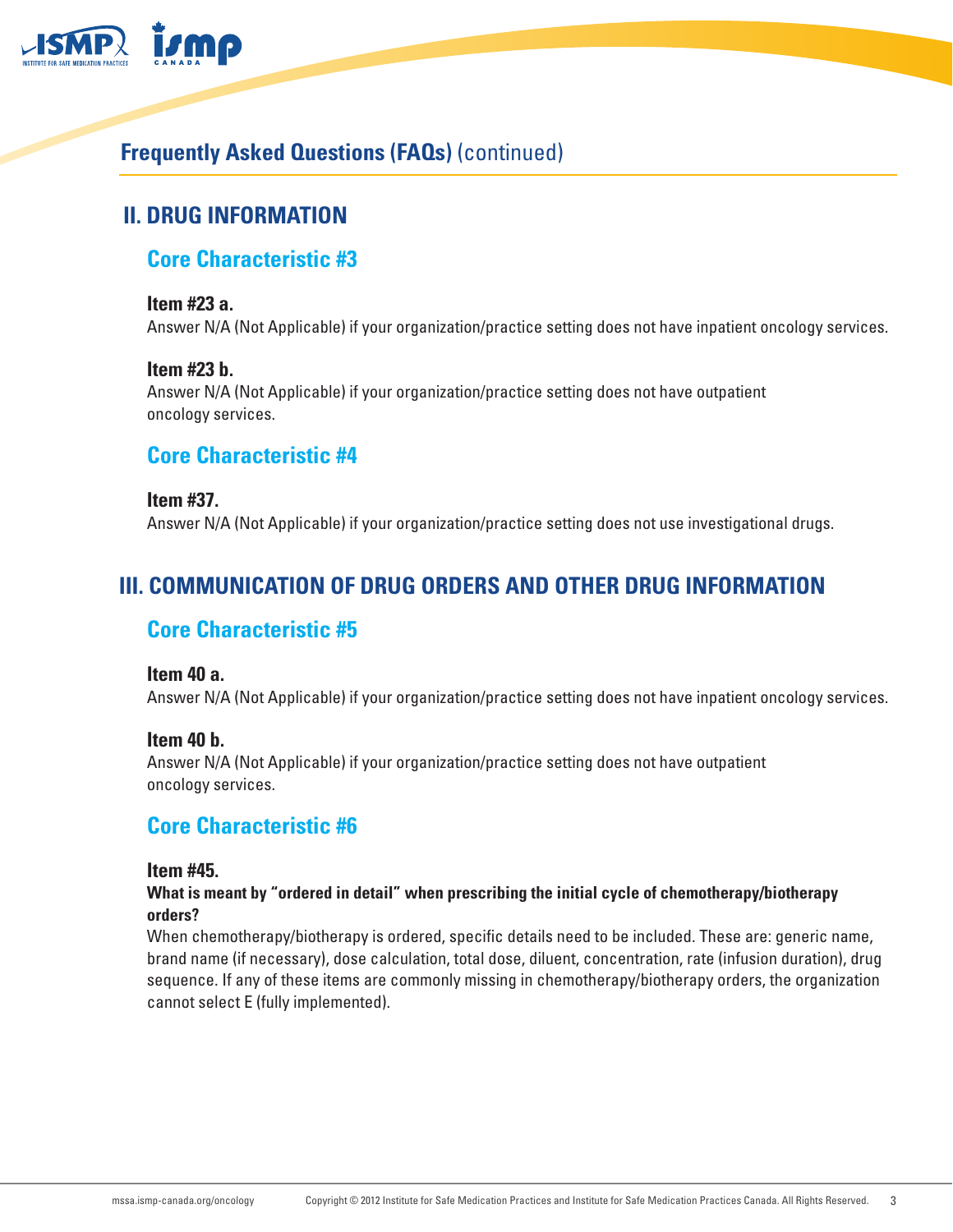

# **II. DRUG INFORMATION**

## **Core Characteristic #3**

#### **Item #23 a.**

Answer N/A (Not Applicable) if your organization/practice setting does not have inpatient oncology services.

#### **Item #23 b.**

Answer N/A (Not Applicable) if your organization/practice setting does not have outpatient oncology services.

### **Core Characteristic #4**

**Item #37.** Answer N/A (Not Applicable) if your organization/practice setting does not use investigational drugs.

## **III. COMMUNICATION OF DRUG ORDERS AND OTHER DRUG INFORMATION**

## **Core Characteristic #5**

#### **Item 40 a.**

Answer N/A (Not Applicable) if your organization/practice setting does not have inpatient oncology services.

#### **Item 40 b.**

Answer N/A (Not Applicable) if your organization/practice setting does not have outpatient oncology services.

### **Core Characteristic #6**

#### **Item #45.**

#### **What is meant by "ordered in detail" when prescribing the initial cycle of chemotherapy/biotherapy orders?**

When chemotherapy/biotherapy is ordered, specific details need to be included. These are: generic name, brand name (if necessary), dose calculation, total dose, diluent, concentration, rate (infusion duration), drug sequence. If any of these items are commonly missing in chemotherapy/biotherapy orders, the organization cannot select E (fully implemented).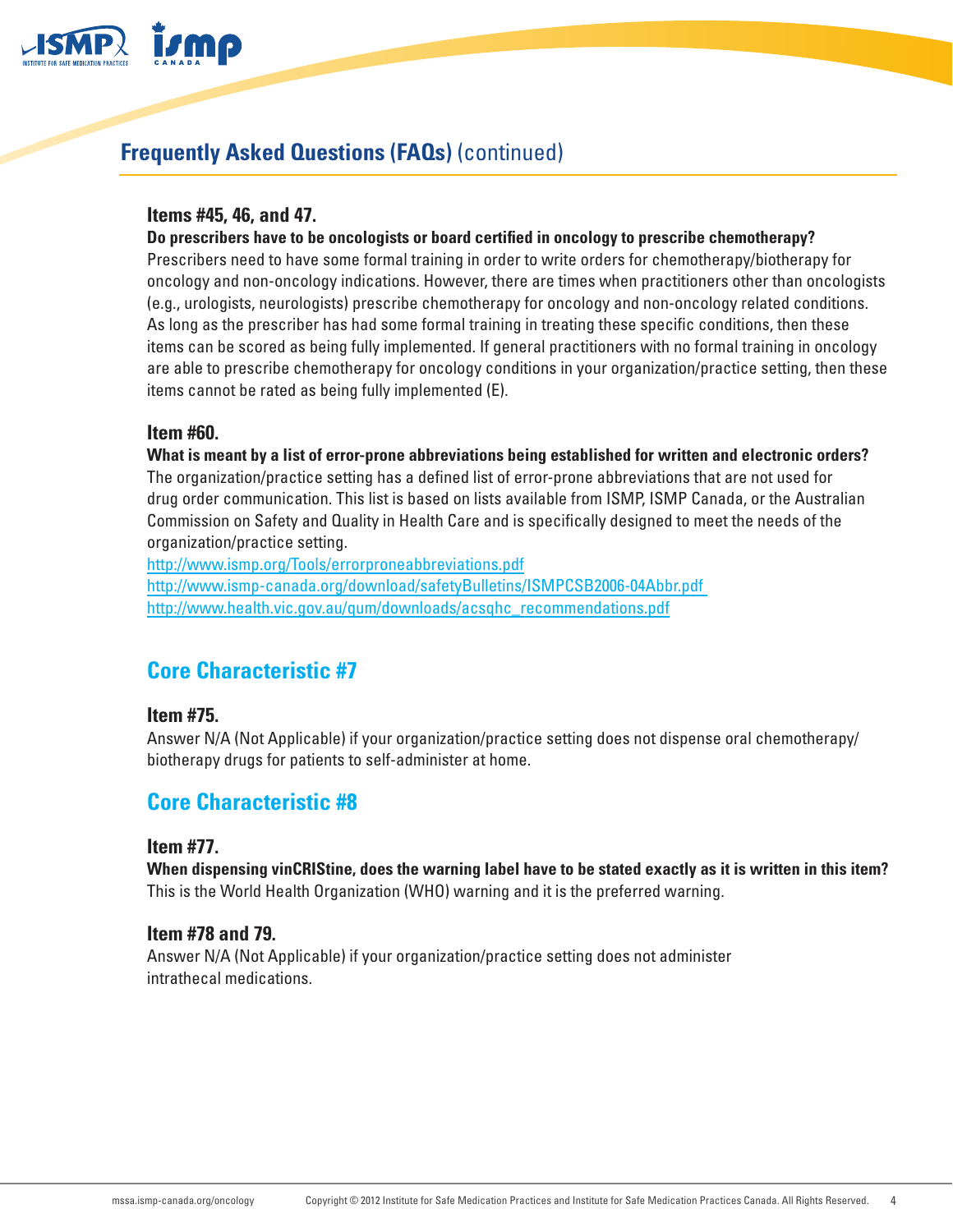

#### **Items #45, 46, and 47.**

#### **Do prescribers have to be oncologists or board certified in oncology to prescribe chemotherapy?**

Prescribers need to have some formal training in order to write orders for chemotherapy/biotherapy for oncology and non-oncology indications. However, there are times when practitioners other than oncologists (e.g., urologists, neurologists) prescribe chemotherapy for oncology and non-oncology related conditions. As long as the prescriber has had some formal training in treating these specific conditions, then these items can be scored as being fully implemented. If general practitioners with no formal training in oncology are able to prescribe chemotherapy for oncology conditions in your organization/practice setting, then these items cannot be rated as being fully implemented (E).

#### **Item #60.**

**What is meant by a list of error-prone abbreviations being established for written and electronic orders?** The organization/practice setting has a defined list of error-prone abbreviations that are not used for drug order communication. This list is based on lists available from ISMP, ISMP Canada, or the Australian Commission on Safety and Quality in Health Care and is specifically designed to meet the needs of the organization/practice setting.

<http://www.ismp.org/Tools/errorproneabbreviations.pdf> [http://www.ismp-canada.org/download/safetyBulletins/ISMPCSB2006-04Abbr.pdf](http://www.ismp-canada.org/download/safetyBulletins/ISMPCSB2006-04Abbr.pdf )  [http://www.health.vic.gov.au/qum/downloads/acsqhc\\_recommendations.pdf](http://www.health.vic.gov.au/qum/downloads/acsqhc_recommendations.pdf)

## **Core Characteristic #7**

#### **Item #75.**

Answer N/A (Not Applicable) if your organization/practice setting does not dispense oral chemotherapy/ biotherapy drugs for patients to self-administer at home.

### **Core Characteristic #8**

#### **Item #77.**

**When dispensing vinCRIStine, does the warning label have to be stated exactly as it is written in this item?** This is the World Health Organization (WHO) warning and it is the preferred warning.

#### **Item #78 and 79.**

Answer N/A (Not Applicable) if your organization/practice setting does not administer intrathecal medications.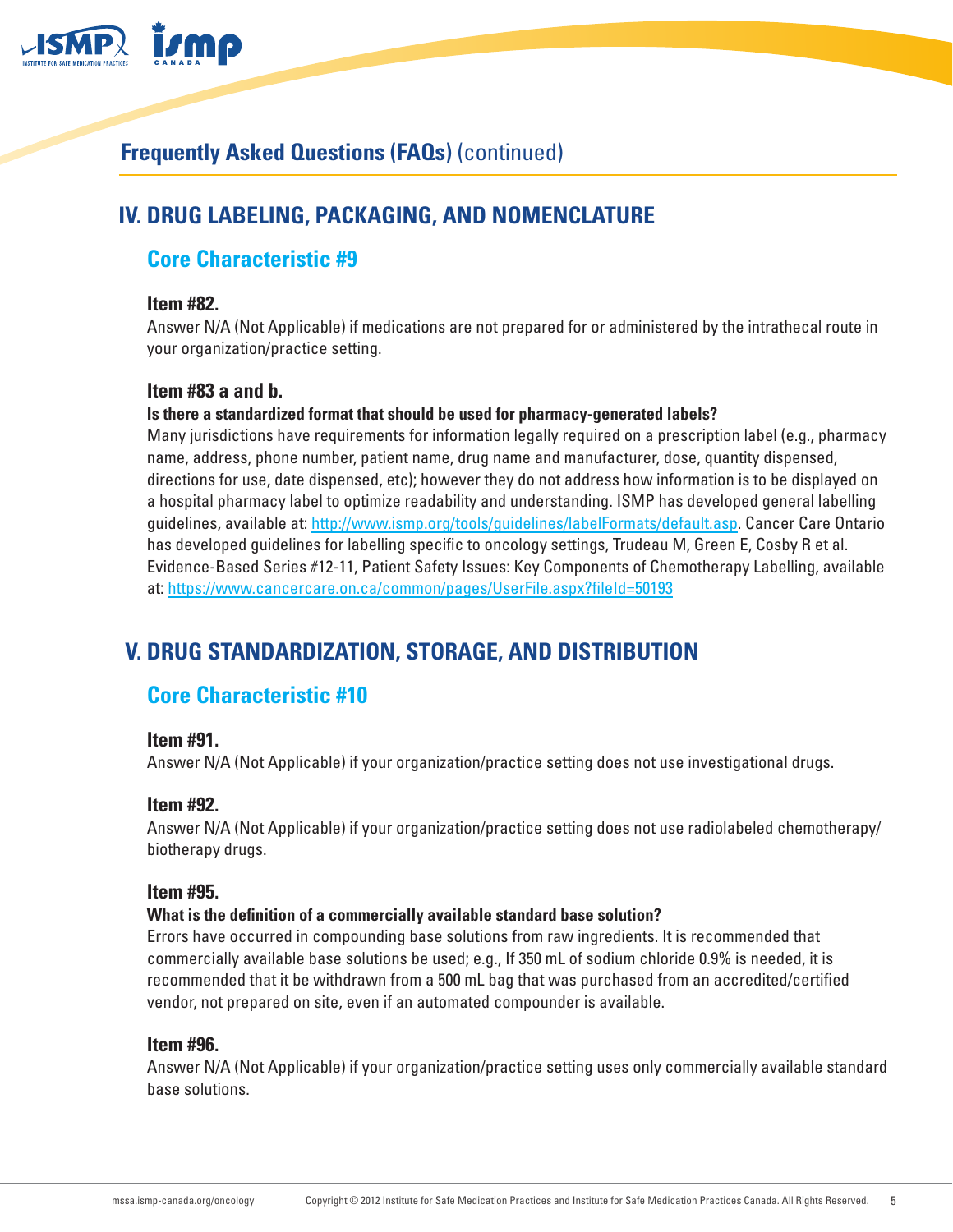

# **IV. DRUG LABELING, PACKAGING, AND NOMENCLATURE**

### **Core Characteristic #9**

#### **Item #82.**

Answer N/A (Not Applicable) if medications are not prepared for or administered by the intrathecal route in your organization/practice setting.

#### **Item #83 a and b.**

#### **Is there a standardized format that should be used for pharmacy-generated labels?**

Many jurisdictions have requirements for information legally required on a prescription label (e.g., pharmacy name, address, phone number, patient name, drug name and manufacturer, dose, quantity dispensed, directions for use, date dispensed, etc); however they do not address how information is to be displayed on a hospital pharmacy label to optimize readability and understanding. ISMP has developed general labelling guidelines, available at:<http://www.ismp.org/tools/guidelines/labelFormats/default.asp>. Cancer Care Ontario has developed guidelines for labelling specific to oncology settings, Trudeau M, Green E, Cosby R et al. Evidence-Based Series #12-11, Patient Safety Issues: Key Components of Chemotherapy Labelling, available at: <https://www.cancercare.on.ca/common/pages/UserFile.aspx?fileId=50193>

## **V. DRUG STANDARDIZATION, STORAGE, AND DISTRIBUTION**

## **Core Characteristic #10**

#### **Item #91.**

Answer N/A (Not Applicable) if your organization/practice setting does not use investigational drugs.

#### **Item #92.**

Answer N/A (Not Applicable) if your organization/practice setting does not use radiolabeled chemotherapy/ biotherapy drugs.

#### **Item #95.**

#### **What is the definition of a commercially available standard base solution?**

Errors have occurred in compounding base solutions from raw ingredients. It is recommended that commercially available base solutions be used; e.g., If 350 mL of sodium chloride 0.9% is needed, it is recommended that it be withdrawn from a 500 mL bag that was purchased from an accredited/certified vendor, not prepared on site, even if an automated compounder is available.

#### **Item #96.**

Answer N/A (Not Applicable) if your organization/practice setting uses only commercially available standard base solutions.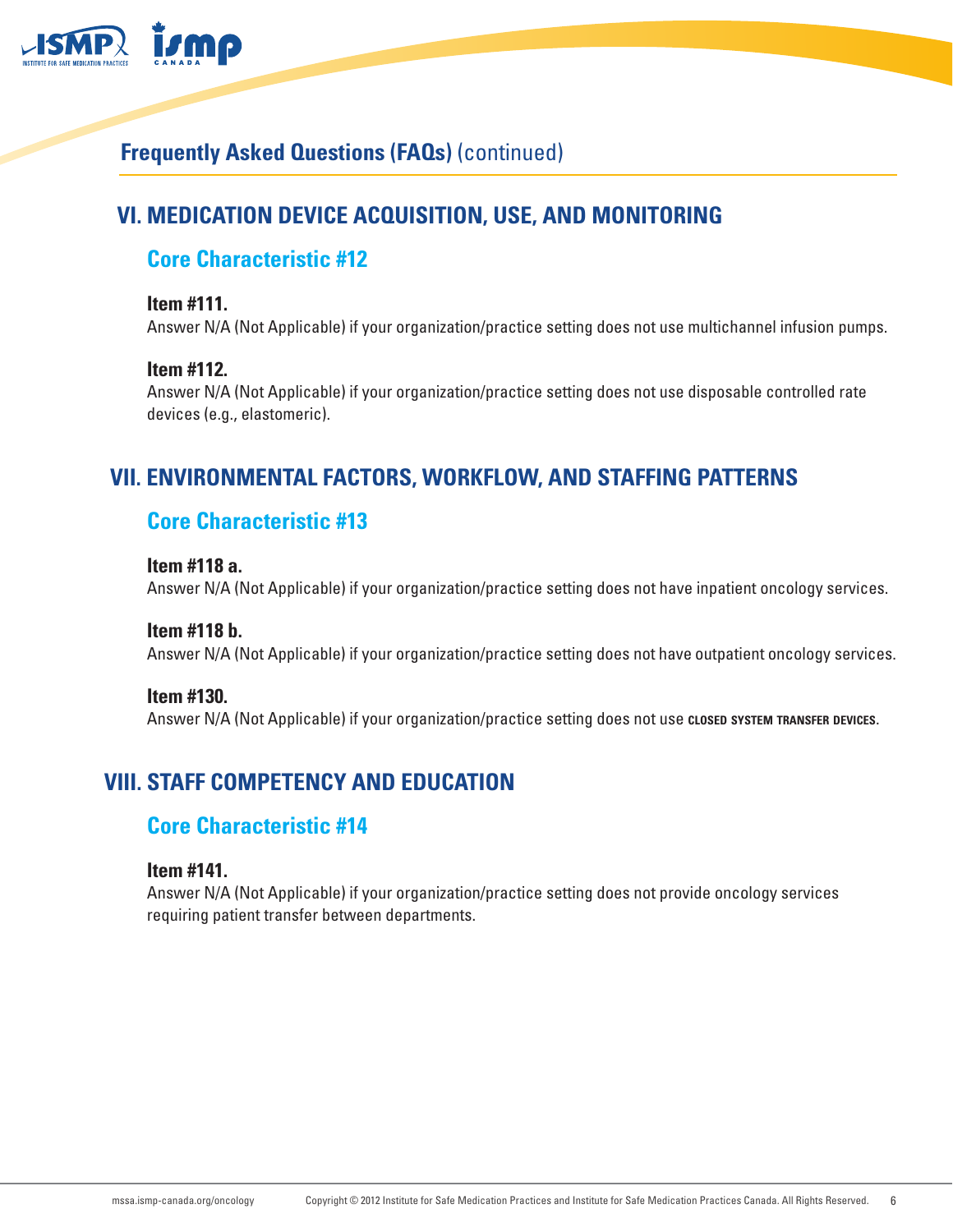

# **VI. MEDICATION DEVICE ACQUISITION, USE, AND MONITORING**

## **Core Characteristic #12**

#### **Item #111.**

Answer N/A (Not Applicable) if your organization/practice setting does not use multichannel infusion pumps.

#### **Item #112.**

Answer N/A (Not Applicable) if your organization/practice setting does not use disposable controlled rate devices (e.g., elastomeric).

## **VII. ENVIRONMENTAL FACTORS, WORKFLOW, AND STAFFING PATTERNS**

## **Core Characteristic #13**

#### **Item #118 a.**

Answer N/A (Not Applicable) if your organization/practice setting does not have inpatient oncology services.

### **Item #118 b.**

Answer N/A (Not Applicable) if your organization/practice setting does not have outpatient oncology services.

#### **Item #130.**

Answer N/A (Not Applicable) if your organization/practice setting does not use **closed system transfer devices**.

# **VIII. STAFF COMPETENCY AND EDUCATION**

### **Core Characteristic #14**

#### **Item #141.**

Answer N/A (Not Applicable) if your organization/practice setting does not provide oncology services requiring patient transfer between departments.